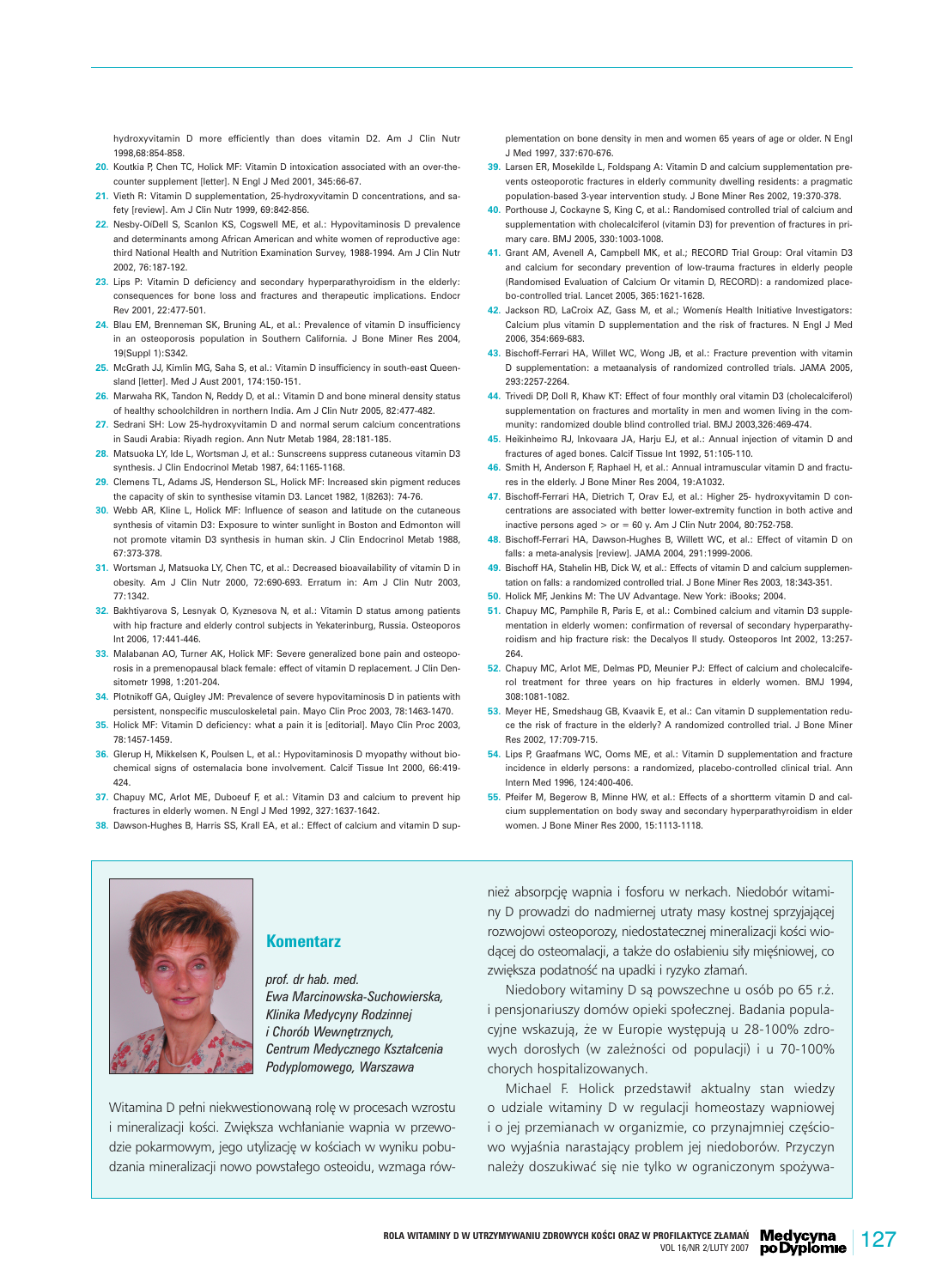hydroxyvitamin D more efficiently than does vitamin D2. Am J Clin Nutr 1998,68:854-858.

- **20.** Koutkia P, Chen TC, Holick MF: Vitamin D intoxication associated with an over-thecounter supplement [letter]. N Engl J Med 2001, 345:66-67.
- **21.** Vieth R: Vitamin D supplementation, 25-hydroxyvitamin D concentrations, and safety [review]. Am J Clin Nutr 1999, 69:842-856.
- **22.** Nesby-OíDell S, Scanlon KS, Cogswell ME, et al.: Hypovitaminosis D prevalence and determinants among African American and white women of reproductive age: third National Health and Nutrition Examination Survey, 1988-1994. Am J Clin Nutr 2002, 76:187-192.
- **23.** Lips P: Vitamin D deficiency and secondary hyperparathyroidism in the elderly: consequences for bone loss and fractures and therapeutic implications. Endocr Rev 2001, 22:477-501.
- **24.** Blau EM, Brenneman SK, Bruning AL, et al.: Prevalence of vitamin D insufficiency in an osteoporosis population in Southern California. J Bone Miner Res 2004, 19(Suppl 1):S342.
- **25.** McGrath JJ, Kimlin MG, Saha S, et al.: Vitamin D insufficiency in south-east Queensland [letter]. Med J Aust 2001, 174:150-151.
- **26.** Marwaha RK, Tandon N, Reddy D, et al.: Vitamin D and bone mineral density status of healthy schoolchildren in northern India. Am J Clin Nutr 2005, 82:477-482.
- **27.** Sedrani SH: Low 25-hydroxyvitamin D and normal serum calcium concentrations in Saudi Arabia: Riyadh region. Ann Nutr Metab 1984, 28:181-185.
- **28.** Matsuoka LY, Ide L, Wortsman J, et al.: Sunscreens suppress cutaneous vitamin D3 synthesis. J Clin Endocrinol Metab 1987, 64:1165-1168.
- **29.** Clemens TL, Adams JS, Henderson SL, Holick MF: Increased skin pigment reduces the capacity of skin to synthesise vitamin D3. Lancet 1982, 1(8263): 74-76.
- **30.** Webb AR, Kline L, Holick MF: Influence of season and latitude on the cutaneous synthesis of vitamin D3: Exposure to winter sunlight in Boston and Edmonton will not promote vitamin D3 synthesis in human skin. J Clin Endocrinol Metab 1988, 67:373-378.
- **31.** Wortsman J, Matsuoka LY, Chen TC, et al.: Decreased bioavailability of vitamin D in obesity. Am J Clin Nutr 2000, 72:690-693. Erratum in: Am J Clin Nutr 2003, 77:1342.
- **32.** Bakhtiyarova S, Lesnyak O, Kyznesova N, et al.: Vitamin D status among patients with hip fracture and elderly control subjects in Yekaterinburg, Russia. Osteoporos Int 2006, 17:441-446.
- **33.** Malabanan AO, Turner AK, Holick MF: Severe generalized bone pain and osteoporosis in a premenopausal black female: effect of vitamin D replacement. J Clin Densitometr 1998, 1:201-204.
- **34.** Plotnikoff GA, Quigley JM: Prevalence of severe hypovitaminosis D in patients with persistent, nonspecific musculoskeletal pain. Mayo Clin Proc 2003, 78:1463-1470.
- **35.** Holick MF: Vitamin D deficiency: what a pain it is [editorial]. Mayo Clin Proc 2003, 78:1457-1459.
- **36.** Glerup H, Mikkelsen K, Poulsen L, et al.: Hypovitaminosis D myopathy without biochemical signs of ostemalacia bone involvement. Calcif Tissue Int 2000, 66:419- 424.
- **37.** Chapuy MC, Arlot ME, Duboeuf F, et al.: Vitamin D3 and calcium to prevent hip fractures in elderly women. N Engl J Med 1992, 327:1637-1642.
- **38.** Dawson-Hughes B, Harris SS, Krall EA, et al.: Effect of calcium and vitamin D sup-

plementation on bone density in men and women 65 years of age or older. N Engl J Med 1997, 337:670-676.

- **39.** Larsen ER, Mosekilde L, Foldspang A: Vitamin D and calcium supplementation prevents osteoporotic fractures in elderly community dwelling residents: a pragmatic population-based 3-year intervention study. J Bone Miner Res 2002, 19:370-378.
- **40.** Porthouse J, Cockayne S, King C, et al.: Randomised controlled trial of calcium and supplementation with cholecalciferol (vitamin D3) for prevention of fractures in primary care. BMJ 2005, 330:1003-1008.
- **41.** Grant AM, Avenell A, Campbell MK, et al.; RECORD Trial Group: Oral vitamin D3 and calcium for secondary prevention of low-trauma fractures in elderly people (Randomised Evaluation of Calcium Or vitamin D, RECORD): a randomized placebo-controlled trial. Lancet 2005, 365:1621-1628.
- **42.** Jackson RD, LaCroix AZ, Gass M, et al.; Womenís Health Initiative Investigators: Calcium plus vitamin D supplementation and the risk of fractures. N Engl J Med 2006, 354:669-683.
- **43.** Bischoff-Ferrari HA, Willet WC, Wong JB, et al.: Fracture prevention with vitamin D supplementation: a metaanalysis of randomized controlled trials. JAMA 2005, 293:2257-2264.
- **44.** Trivedi DP, Doll R, Khaw KT: Effect of four monthly oral vitamin D3 (cholecalciferol) supplementation on fractures and mortality in men and women living in the community: randomized double blind controlled trial. BMJ 2003,326:469-474.
- **45.** Heikinheimo RJ, Inkovaara JA, Harju EJ, et al.: Annual injection of vitamin D and fractures of aged bones. Calcif Tissue Int 1992, 51:105-110.
- **46.** Smith H, Anderson F, Raphael H, et al.: Annual intramuscular vitamin D and fractures in the elderly. J Bone Miner Res 2004, 19:A1032.
- **47.** Bischoff-Ferrari HA, Dietrich T, Orav EJ, et al.: Higher 25- hydroxyvitamin D concentrations are associated with better lower-extremity function in both active and inactive persons aged  $>$  or  $= 60$  v. Am J Clin Nutr 2004, 80:752-758.
- **48.** Bischoff-Ferrari HA, Dawson-Hughes B, Willett WC, et al.: Effect of vitamin D on falls: a meta-analysis [review]. JAMA 2004, 291:1999-2006.
- **49.** Bischoff HA, Stahelin HB, Dick W, et al.: Effects of vitamin D and calcium supplementation on falls: a randomized controlled trial. J Bone Miner Res 2003, 18:343-351.
- **50.** Holick MF, Jenkins M: The UV Advantage. New York: iBooks; 2004.
- **51.** Chapuy MC, Pamphile R, Paris E, et al.: Combined calcium and vitamin D3 supplementation in elderly women: confirmation of reversal of secondary hyperparathyroidism and hip fracture risk: the Decalyos II study. Osteoporos Int 2002, 13:257- 264.
- **52.** Chapuy MC, Arlot ME, Delmas PD, Meunier PJ: Effect of calcium and cholecalciferol treatment for three years on hip fractures in elderly women. BMJ 1994, 308:1081-1082.
- **53.** Meyer HE, Smedshaug GB, Kvaavik E, et al.: Can vitamin D supplementation reduce the risk of fracture in the elderly? A randomized controlled trial. J Bone Miner Res 2002, 17:709-715.
- **54.** Lips P, Graafmans WC, Ooms ME, et al.: Vitamin D supplementation and fracture incidence in elderly persons: a randomized, placebo-controlled clinical trial. Ann Intern Med 1996, 124:400-406.
- **55.** Pfeifer M, Begerow B, Minne HW, et al.: Effects of a shortterm vitamin D and calcium supplementation on body sway and secondary hyperparathyroidism in elder women. J Bone Miner Res 2000, 15:1113-1118.



## **Komentarz**

*prof. dr hab. med. Ewa Marcinowska-Suchowierska, Klinika Medycyny Rodzinnej*   $i$  *Chorób Wewnętrznych, Centrum Medycznego Kszta∏cenia Podyplomowego, Warszawa*

Witamina D pełni niekwestionowaną rolę w procesach wzrostu i mineralizacji kości. Zwiększa wchłanianie wapnia w przewodzie pokarmowym, jego utylizację w kościach w wyniku pobudzania mineralizacji nowo powsta∏ego osteoidu, wzmaga rów-

nież absorpcję wapnia i fosforu w nerkach. Niedobór witaminy D prowadzi do nadmiernej utraty masy kostnej sprzyjającej rozwojowi osteoporozy, niedostatecznej mineralizacji kości wiodącej do osteomalacji, a także do osłabieniu siły mięśniowej, co zwieksza podatność na upadki i ryzyko złamań.

Niedobory witaminy D są powszechne u osób po 65 r.ż. i pensjonariuszy domów opieki społecznej. Badania populacyjne wskazują, że w Europie występują u 28-100% zdrowych dorosłych (w zależności od populacji) i u 70-100% chorych hospitalizowanych.

Michael F. Holick przedstawił aktualny stan wiedzy o udziale witaminy D w regulacji homeostazy wapniowej i o jej przemianach w organizmie, co przynajmniej częściowo wyjaśnia narastający problem jej niedoborów. Przyczyn należy doszukiwać się nie tylko w ograniczonym spożywa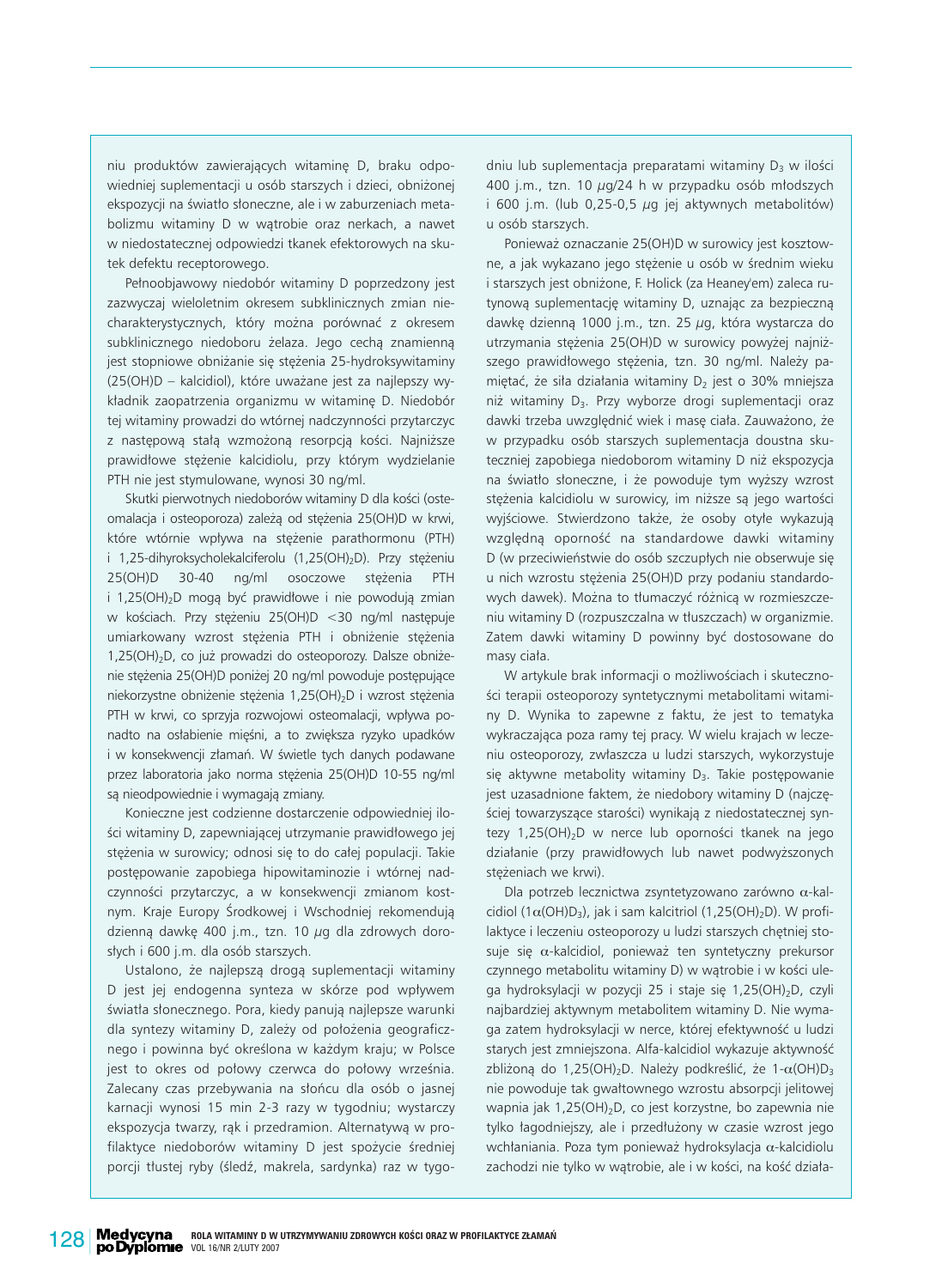niu produktów zawierających witaminę D, braku odpowiedniej suplementacji u osób starszych i dzieci, obniżonej ekspozycji na światło słoneczne, ale i w zaburzeniach metabolizmu witaminy D w wątrobie oraz nerkach, a nawet w niedostatecznej odpowiedzi tkanek efektorowych na skutek defektu receptorowego.

Pełnoobjawowy niedobór witaminy D poprzedzony jest zazwyczaj wieloletnim okresem subklinicznych zmian niecharakterystycznych, który można porównać z okresem subklinicznego niedoboru żelaza. Jego cechą znamienną jest stopniowe obniżanie się stężenia 25-hydroksywitaminy (25(OH)D – kalcidiol), które uważane jest za najlepszy wykładnik zaopatrzenia organizmu w witaminę D. Niedobór tej witaminy prowadzi do wtórnej nadczynności przytarczyc z następową stałą wzmożoną resorpcją kości. Najniższe prawidłowe stężenie kalcidiolu, przy którym wydzielanie PTH nie jest stymulowane, wynosi 30 ng/ml.

Skutki pierwotnych niedoborów witaminy D dla kości (osteomalacja i osteoporoza) zależą od stężenia 25(OH)D w krwi, które wtórnie wpływa na stężenie parathormonu (PTH) i 1,25-dihyroksycholekalciferolu  $(1,25(OH),D)$ . Przy stężeniu 25(OH)D 30-40 ng/ml osoczowe stężenia PTH i 1,25(OH)<sub>2</sub>D mogą być prawidłowe i nie powodują zmian w kościach. Przy stężeniu 25(OH)D <30 ng/ml następuje umiarkowany wzrost stężenia PTH i obniżenie stężenia 1,25(OH)<sub>2</sub>D, co już prowadzi do osteoporozy. Dalsze obniżenie stężenia 25(OH)D poniżej 20 ng/ml powoduje postępujące niekorzystne obniżenie stężenia 1,25(OH)<sub>2</sub>D i wzrost stężenia PTH w krwi, co sprzyja rozwojowi osteomalacji, wpływa ponadto na osłabienie mięśni, a to zwiększa ryzyko upadków i w konsekwencji złamań. W świetle tych danych podawane przez laboratoria jako norma stężenia 25(OH)D 10-55 ng/ml są nieodpowiednie i wymagają zmiany.

Konieczne jest codzienne dostarczenie odpowiedniej ilości witaminy D, zapewniającej utrzymanie prawidłowego jej stężenia w surowicy; odnosi się to do całej populacji. Takie postępowanie zapobiega hipowitaminozie i wtórnej nadczynności przytarczyc, a w konsekwencji zmianom kostnym. Kraje Europy Środkowej i Wschodniej rekomendują dzienną dawkę 400 j.m., tzn. 10  $\mu$ g dla zdrowych dorosłych i 600 j.m. dla osób starszych.

Ustalono, że najlepszą drogą suplementacji witaminy D jest jej endogenna synteza w skórze pod wpływem światła słonecznego. Pora, kiedy panują najlepsze warunki dla syntezy witaminy D, zależy od położenia geograficznego i powinna być określona w każdym kraju; w Polsce jest to okres od połowy czerwca do połowy września. Zalecany czas przebywania na słońcu dla osób o jasnej karnacji wynosi 15 min 2-3 razy w tygodniu; wystarczy ekspozycja twarzy, rąk i przedramion. Alternatywą w profilaktyce niedoborów witaminy D jest spożycie średniej porcji tłustej ryby (śledź, makrela, sardynka) raz w tygodniu lub suplementacja preparatami witaminy  $D_3$  w ilości 400 j.m., tzn. 10 µg/24 h w przypadku osób młodszych i 600 j.m. (lub 0,25-0,5  $\mu$ g jej aktywnych metabolitów) u osób starszych.

Ponieważ oznaczanie 25(OH)D w surowicy jest kosztowne, a jak wykazano jego stężenie u osób w średnim wieku i starszych jest obniżone, F. Holick (za Heaney'em) zaleca rutynową suplementację witaminy D, uznając za bezpieczną dawkę dzienną 1000 j.m., tzn. 25 µg, która wystarcza do utrzymania stężenia 25(OH)D w surowicy powyżej najniższego prawidłowego stężenia, tzn. 30 ng/ml. Należy pamiętać, że siła działania witaminy D<sub>2</sub> jest o 30% mniejsza niż witaminy D<sub>3</sub>. Przy wyborze drogi suplementacji oraz dawki trzeba uwzględnić wiek i masę ciała. Zauważono, że w przypadku osób starszych suplementacja doustna skuteczniej zapobiega niedoborom witaminy D niż ekspozycja na światło słoneczne, i że powoduje tym wyższy wzrost stężenia kalcidiolu w surowicy, im niższe są jego wartości wyjściowe. Stwierdzono także, że osoby otyłe wykazują względną oporność na standardowe dawki witaminy D (w przeciwieństwie do osób szczupłych nie obserwuje się u nich wzrostu stężenia 25(OH)D przy podaniu standardowych dawek). Można to tłumaczyć różnicą w rozmieszczeniu witaminy D (rozpuszczalna w tłuszczach) w organizmie. Zatem dawki witaminy D powinny być dostosowane do masy ciała.

W artykule brak informacji o możliwościach i skuteczności terapii osteoporozy syntetycznymi metabolitami witaminy D. Wynika to zapewne z faktu, że jest to tematyka wykraczająca poza ramy tej pracy. W wielu krajach w leczeniu osteoporozy, zwłaszcza u ludzi starszych, wykorzystuje się aktywne metabolity witaminy D<sub>3</sub>. Takie postępowanie jest uzasadnione faktem, że niedobory witaminy D (najczęściej towarzyszące starości) wynikają z niedostatecznej syntezy 1,25(OH)<sub>2</sub>D w nerce lub oporności tkanek na jego działanie (przy prawidłowych lub nawet podwyższonych stężeniach we krwi).

Dla potrzeb lecznictwa zsyntetyzowano zarówno α-kalcidiol (1 $\alpha$ (OH)D<sub>3</sub>), jak i sam kalcitriol (1,25(OH)<sub>2</sub>D). W profilaktyce i leczeniu osteoporozy u ludzi starszych chętniej stosuje się  $\alpha$ -kalcidiol, ponieważ ten syntetyczny prekursor czynnego metabolitu witaminy D) w wątrobie i w kości ulega hydroksylacji w pozycji 25 i staje się 1,25(OH)<sub>2</sub>D, czyli najbardziej aktywnym metabolitem witaminy D. Nie wymaga zatem hydroksylacji w nerce, której efektywność u ludzi starych jest zmniejszona. Alfa-kalcidiol wykazuje aktywność zbliżoną do 1,25(OH)<sub>2</sub>D. Należy podkreślić, że 1- $\alpha$ (OH)D<sub>3</sub> nie powoduje tak gwałtownego wzrostu absorpcji jelitowej wapnia jak 1,25(OH)<sub>2</sub>D, co jest korzystne, bo zapewnia nie tylko ∏agodniejszy, ale i przed∏u˝ony w czasie wzrost jego wchłaniania. Poza tym ponieważ hydroksylacja  $\alpha$ -kalcidiolu zachodzi nie tylko w wątrobie, ale i w kości, na kość działa